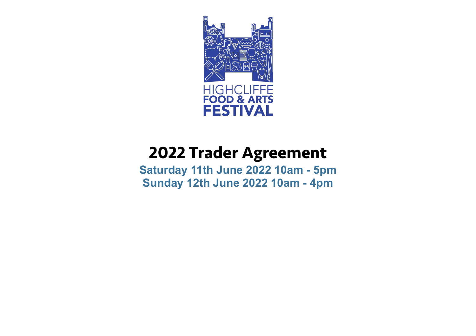

# **2022 Trader Agreement**

**Saturday 11th June 2022 10am - 5pm Sunday 12th June 2022 10am - 4pm**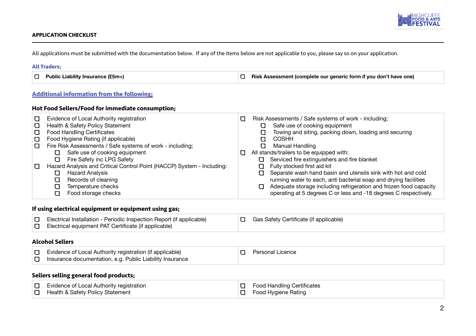

## **APPLICATION CHECKLIST**

All applications must be submitted with the documentation below. If any of the items below are not applicable to you, please say so on your application.

#### **All Traders;**

| Public Liability Insurance (£5m+) | Risk Assessment (complete our generic form if you don't have one) |
|-----------------------------------|-------------------------------------------------------------------|
|-----------------------------------|-------------------------------------------------------------------|

# **Additional information from the following;**

# **Hot Food Sellers/Food for immediate consumption;**

| U | Evidence of Local Authority registration                               | Ω                                | Risk Assessments / Safe systems of work - including;                   |  |
|---|------------------------------------------------------------------------|----------------------------------|------------------------------------------------------------------------|--|
| U | Health & Safety Policy Statement                                       |                                  | Safe use of cooking equipment                                          |  |
| U | <b>Food Handling Certificates</b>                                      |                                  | Towing and siting, packing down, loading and securing                  |  |
| U | Food Hygiene Rating (if applicable)                                    |                                  | <b>COSHH</b>                                                           |  |
| U | Fire Risk Assessments / Safe systems of work - including;              |                                  | Manual Handling                                                        |  |
|   | Safe use of cooking equipment<br>O                                     |                                  | All stands/trailers to be equipped with:                               |  |
|   | Fire Safety inc LPG Safety<br>O                                        |                                  | Serviced fire extinguishers and fire blanket<br>O                      |  |
| O | Hazard Analysis and Critical Control Point (HACCP) System - Including: | Fully stocked first aid kit<br>U |                                                                        |  |
|   | <b>Hazard Analysis</b><br>O                                            |                                  | Separate wash hand basin and utensils sink with hot and cold<br>Ω      |  |
|   | Records of cleaning                                                    |                                  | running water to each, anti bacterial soap and drying facilities       |  |
|   | Temperature checks                                                     |                                  | Adequate storage including refrigeration and frozen food capacity<br>α |  |
|   | Food storage checks                                                    |                                  | operating at 5 degrees C or less and -18 degrees C respectively.       |  |

# **If using electrical equipment or equipment using gas;**

| Electrical Installation - Periodic Inspection Report (if applicable) | <b>D</b> Gas Safety Certificate (if applicable) |
|----------------------------------------------------------------------|-------------------------------------------------|
| $\Box$ Electrical equipment PAT Certificate (if applicable)          |                                                 |

# **Alcohol Sellers**

| Evidence of Local Authority registration (if applicable) | Personal Licence |
|----------------------------------------------------------|------------------|
| Insurance documentation, e.g. Public Liability Insurance |                  |

# **Sellers selling general food products;**

| $\Box$ Evidence of Local Authority registration | $\Box$ Food Handling Certificates |
|-------------------------------------------------|-----------------------------------|
| Health & Safety Policy Statement                | Food Hygiene Rating               |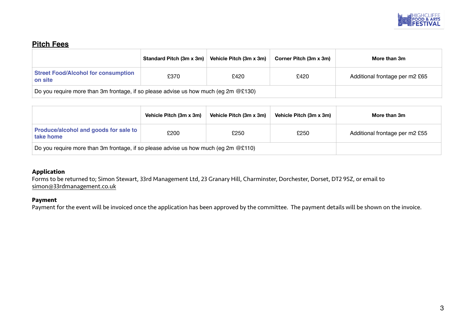

# **Pitch Fees**

|                                                                                       | Standard Pitch (3m x 3m) | Vehicle Pitch (3m x 3m) | Corner Pitch (3m x 3m) | More than 3m                   |
|---------------------------------------------------------------------------------------|--------------------------|-------------------------|------------------------|--------------------------------|
| <b>Street Food/Alcohol for consumption</b><br>on site                                 | £370                     | £420                    | £420                   | Additional frontage per m2 £65 |
| Do you require more than 3m frontage, if so please advise us how much (eg 2m $@E130)$ |                          |                         |                        |                                |

|                                                                                        | Vehicle Pitch (3m x 3m) | Vehicle Pitch (3m x 3m) | Vehicle Pitch (3m x 3m) | More than 3m                   |
|----------------------------------------------------------------------------------------|-------------------------|-------------------------|-------------------------|--------------------------------|
| Produce/alcohol and goods for sale to<br>take home                                     | £200                    | £250                    | £250                    | Additional frontage per m2 £55 |
| Do you require more than 3m frontage, if so please advise us how much (eg 2m $@E110$ ) |                         |                         |                         |                                |

# **Application**

Forms to be returned to; Simon Stewart, 33rd Management Ltd, 23 Granary Hill, Charminster, Dorchester, Dorset, DT2 9SZ, or email to [simon@33rdmanagement.co.uk](mailto:simon@33rdmanagement.co.uk)

# **Payment**

Payment for the event will be invoiced once the application has been approved by the committee. The payment details will be shown on the invoice.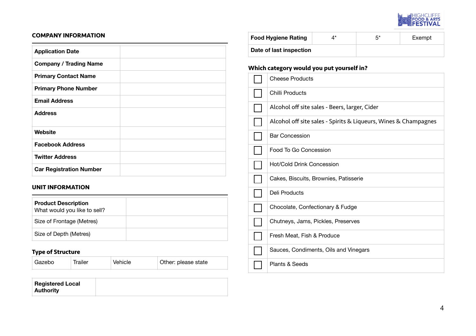

# **COMPANY INFORMATION**

| <b>Application Date</b>        |  |
|--------------------------------|--|
| <b>Company / Trading Name</b>  |  |
| <b>Primary Contact Name</b>    |  |
| <b>Primary Phone Number</b>    |  |
| <b>Email Address</b>           |  |
| <b>Address</b>                 |  |
| Website                        |  |
| <b>Facebook Address</b>        |  |
| <b>Twitter Address</b>         |  |
| <b>Car Registration Number</b> |  |

# **UNIT INFORMATION**

| <b>Product Description</b><br>What would you like to sell? |  |
|------------------------------------------------------------|--|
| Size of Frontage (Metres)                                  |  |
| Size of Depth (Metres)                                     |  |

# **Type of Structure**

| ' Gazebo | Trailer | Vehicle | Other: please state |
|----------|---------|---------|---------------------|
|          |         |         |                     |

| <b>Registered Local</b> |  |
|-------------------------|--|
| <b>Authority</b>        |  |

| <b>Food Hygiene Rating</b> | 4* | 5* | Exempt |
|----------------------------|----|----|--------|
| Date of last inspection    |    |    |        |

# **Which category would you put yourself in?**

| <b>Cheese Products</b>                                          |
|-----------------------------------------------------------------|
| Chilli Products                                                 |
| Alcohol off site sales - Beers, larger, Cider                   |
| Alcohol off site sales - Spirits & Liqueurs, Wines & Champagnes |
| <b>Bar Concession</b>                                           |
| Food To Go Concession                                           |
| Hot/Cold Drink Concession                                       |
| Cakes, Biscuits, Brownies, Patisserie                           |
| Deli Products                                                   |
| Chocolate, Confectionary & Fudge                                |
| Chutneys, Jams, Pickles, Preserves                              |
| Fresh Meat, Fish & Produce                                      |
| Sauces, Condiments, Oils and Vinegars                           |
| Plants & Seeds                                                  |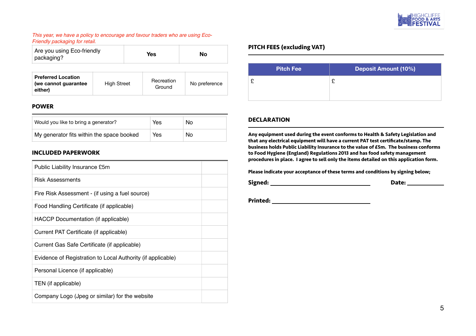

#### *This year, we have a policy to encourage and favour traders who are using Eco-Friendly packaging for retail.*

| Are you using Eco-friendly<br>packaging?                     |                    | Yes                  | Nο            |
|--------------------------------------------------------------|--------------------|----------------------|---------------|
| <b>Preferred Location</b><br>(we cannot guarantee<br>either) | <b>High Street</b> | Recreation<br>Ground | No preference |

# **POWER**

| Would you like to bring a generator?      | Yes | No. |
|-------------------------------------------|-----|-----|
| My generator fits within the space booked | Yes | No  |

# **INCLUDED PAPERWORK**

| Public Liability Insurance £5m                              |  |
|-------------------------------------------------------------|--|
| <b>Risk Assessments</b>                                     |  |
| Fire Risk Assessment - (if using a fuel source)             |  |
| Food Handling Certificate (if applicable)                   |  |
| HACCP Documentation (if applicable)                         |  |
| Current PAT Certificate (if applicable)                     |  |
| Current Gas Safe Certificate (if applicable)                |  |
| Evidence of Registration to Local Authority (if applicable) |  |
| Personal Licence (if applicable)                            |  |
| TEN (if applicable)                                         |  |
| Company Logo (Jpeg or similar) for the website              |  |

# **PITCH FEES (excluding VAT)**

|   | <b>Pitch Fee</b> | <b>Deposit Amount (10%)</b> |
|---|------------------|-----------------------------|
| £ |                  |                             |

# **DECLARATION**

**Any equipment used during the event conforms to Health & Safety Legislation and that any electrical equipment will have a current PAT test certificate/stamp. The business holds Public Liability Insurance to the value of £5m. The business conforms to Food Hygiene (England) Regulations 2013 and has food safety management procedures in place. I agree to sell only the items detailed on this application form.**

**Please indicate your acceptance of these terms and conditions by signing below;**

**Signed:** 2008 2009 2012 2022 2023 2024 2024 2022 2024 2022 2024 2022 2024 2022 2024 2022 2024 2022 2024 2022 2024 2022 2024 2022 2024 2022 2024 2022 2024 2022 2024 2022 2024 2022 2024 2022 2024 2022 2023 2024 2022 2024 20

**Printed:**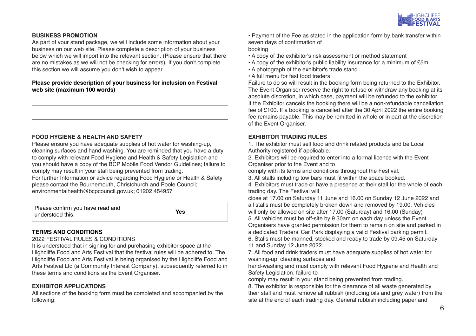

# **BUSINESS PROMOTION**

As part of your stand package, we will include some information about your business on our web site. Please complete a description of your business below which we will import into the relevant section. (Please ensure that there are no mistakes as we will not be checking for errors). If you don't complete this section we will assume you don't wish to appear.

# **Please provide description of your business for inclusion on Festival web site (maximum 100 words)**

# **FOOD HYGIENE & HEALTH AND SAFETY**

Please ensure you have adequate supplies of hot water for washing-up, cleaning surfaces and hand washing. You are reminded that you have a duty to comply with relevant Food Hygiene and Health & Safety Legislation and you should have a copy of the BCP Mobile Food Vendor Guidelines; failure to comply may result in your stall being prevented from trading. For further Information or advice regarding Food Hygiene or Health & Safety please contact the Bournemouth, Christchurch and Poole Council; [environmentalhealth@bcpcouncil.gov.uk;](mailto:environmentalhealth@bcpcouncil.gov.uk) 01202 454957

| Please confirm you have read and | Yes |
|----------------------------------|-----|
| understood this;                 |     |

# **TERMS AND CONDITIONS**

#### 2022 FESTIVAL RULES & CONDITIONS

It is understood that in signing for and purchasing exhibitor space at the Highcliffe Food and Arts Festival that the festival rules will be adhered to. The Highcliffe Food and Arts Festival is being organised by the Highcliffe Food and Arts Festival Ltd (a Community Interest Company), subsequently referred to in these terms and conditions as the Event Organiser.

# **EXHIBITOR APPLICATIONS**

All sections of the booking form must be completed and accompanied by the following:

• Payment of the Fee as stated in the application form by bank transfer within seven days of confirmation of

booking

- A copy of the exhibitor's risk assessment or method statement
- A copy of the exhibitor's public liability insurance for a minimum of £5m
- A photograph of the exhibitor's trade stand
- A full menu for fast food traders

Failure to do so will result in the booking form being returned to the Exhibitor. The Event Organiser reserve the right to refuse or withdraw any booking at its absolute discretion, in which case, payment will be refunded to the exhibitor. If the Exhibitor cancels the booking there will be a non-refundable cancellation fee of £100. If a booking is cancelled after the 30 April 2022 the entire booking fee remains payable. This may be remitted in whole or in part at the discretion of the Event Organiser.

# **EXHIBITOR TRADING RULES**

1. The exhibitor must sell food and drink related products and be Local Authority registered if applicable.

2. Exhibitors will be required to enter into a formal licence with the Event Organiser prior to the Event and to

comply with its terms and conditions throughout the Festival.

3. All stalls including tow bars must fit within the space booked.

4. Exhibitors must trade or have a presence at their stall for the whole of each trading day. The Festival will

close at 17.00 on Saturday 11 June and 16.00 on Sunday 12 June 2022 and all stalls must be completely broken down and removed by 19.00. Vehicles will only be allowed on site after 17.00 (Saturday) and 16.00 (Sunday)

5. All vehicles must be off-site by 9.30am on each day unless the Event Organisers have granted permission for them to remain on site and parked in

a dedicated Traders' Car Park displaying a valid Festival parking permit.

6. Stalls must be manned, stocked and ready to trade by 09.45 on Saturday 11 and Sunday 12 June 2022.

7. All food and drink traders must have adequate supplies of hot water for washing-up, cleaning surfaces and

hand-washing and must comply with relevant Food Hygiene and Health and Safety Legislation; failure to

comply may result in your stand being prevented from trading.

8. The exhibitor is responsible for the clearance of all waste generated by their stall and must remove all rubbish (including oils and grey water) from the site at the end of each trading day. General rubbish including paper and